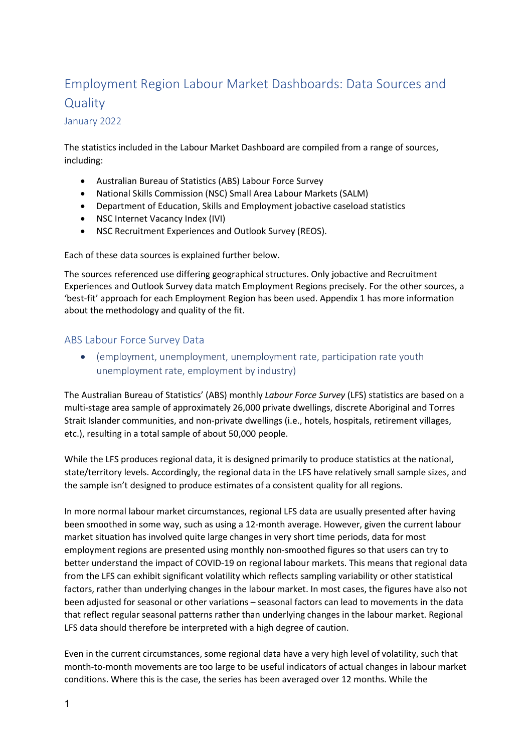# Employment Region Labour Market Dashboards: Data Sources and **Quality**

#### January 2022

The statistics included in the Labour Market Dashboard are compiled from a range of sources, including:

- Australian Bureau of Statistics (ABS) Labour Force Survey
- National Skills Commission (NSC) Small Area Labour Markets (SALM)
- Department of Education, Skills and Employment jobactive caseload statistics
- NSC Internet Vacancy Index (IVI)
- NSC Recruitment Experiences and Outlook Survey (REOS).

Each of these data sources is explained further below.

The sources referenced use differing geographical structures. Only jobactive and Recruitment Experiences and Outlook Survey data match Employment Regions precisely. For the other sources, a 'best-fit' approach for each Employment Region has been used. Appendix 1 has more information about the methodology and quality of the fit.

## ABS Labour Force Survey Data

 (employment, unemployment, unemployment rate, participation rate youth unemployment rate, employment by industry)

The Australian Bureau of Statistics' (ABS) monthly Labour Force Survey (LFS) statistics are based on a multi-stage area sample of approximately 26,000 private dwellings, discrete Aboriginal and Torres Strait Islander communities, and non-private dwellings (i.e., hotels, hospitals, retirement villages, etc.), resulting in a total sample of about 50,000 people.

While the LFS produces regional data, it is designed primarily to produce statistics at the national, state/territory levels. Accordingly, the regional data in the LFS have relatively small sample sizes, and the sample isn't designed to produce estimates of a consistent quality for all regions.

In more normal labour market circumstances, regional LFS data are usually presented after having been smoothed in some way, such as using a 12-month average. However, given the current labour market situation has involved quite large changes in very short time periods, data for most employment regions are presented using monthly non-smoothed figures so that users can try to better understand the impact of COVID-19 on regional labour markets. This means that regional data from the LFS can exhibit significant volatility which reflects sampling variability or other statistical factors, rather than underlying changes in the labour market. In most cases, the figures have also not been adjusted for seasonal or other variations – seasonal factors can lead to movements in the data that reflect regular seasonal patterns rather than underlying changes in the labour market. Regional LFS data should therefore be interpreted with a high degree of caution.

Even in the current circumstances, some regional data have a very high level of volatility, such that month-to-month movements are too large to be useful indicators of actual changes in labour market conditions. Where this is the case, the series has been averaged over 12 months. While the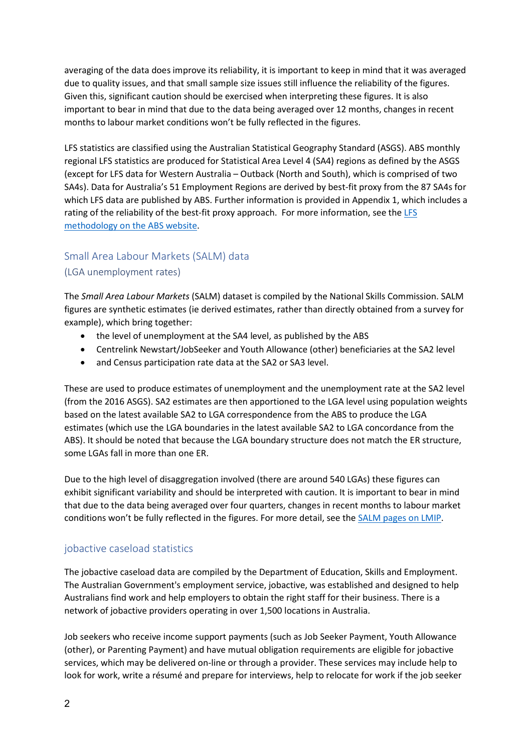averaging of the data does improve its reliability, it is important to keep in mind that it was averaged due to quality issues, and that small sample size issues still influence the reliability of the figures. Given this, significant caution should be exercised when interpreting these figures. It is also important to bear in mind that due to the data being averaged over 12 months, changes in recent months to labour market conditions won't be fully reflected in the figures.

LFS statistics are classified using the Australian Statistical Geography Standard (ASGS). ABS monthly regional LFS statistics are produced for Statistical Area Level 4 (SA4) regions as defined by the ASGS (except for LFS data for Western Australia – Outback (North and South), which is comprised of two SA4s). Data for Australia's 51 Employment Regions are derived by best-fit proxy from the 87 SA4s for which LFS data are published by ABS. Further information is provided in Appendix 1, which includes a rating of the reliability of the best-fit proxy approach. For more information, see the LFS methodology on the ABS website.

# Small Area Labour Markets (SALM) data

### (LGA unemployment rates)

The Small Area Labour Markets (SALM) dataset is compiled by the National Skills Commission. SALM figures are synthetic estimates (ie derived estimates, rather than directly obtained from a survey for example), which bring together:

- the level of unemployment at the SA4 level, as published by the ABS
- Centrelink Newstart/JobSeeker and Youth Allowance (other) beneficiaries at the SA2 level
- and Census participation rate data at the SA2 or SA3 level.

These are used to produce estimates of unemployment and the unemployment rate at the SA2 level (from the 2016 ASGS). SA2 estimates are then apportioned to the LGA level using population weights based on the latest available SA2 to LGA correspondence from the ABS to produce the LGA estimates (which use the LGA boundaries in the latest available SA2 to LGA concordance from the ABS). It should be noted that because the LGA boundary structure does not match the ER structure, some LGAs fall in more than one ER.

Due to the high level of disaggregation involved (there are around 540 LGAs) these figures can exhibit significant variability and should be interpreted with caution. It is important to bear in mind that due to the data being averaged over four quarters, changes in recent months to labour market conditions won't be fully reflected in the figures. For more detail, see the SALM pages on LMIP.

### jobactive caseload statistics

The jobactive caseload data are compiled by the Department of Education, Skills and Employment. The Australian Government's employment service, jobactive, was established and designed to help Australians find work and help employers to obtain the right staff for their business. There is a network of jobactive providers operating in over 1,500 locations in Australia.

Job seekers who receive income support payments (such as Job Seeker Payment, Youth Allowance (other), or Parenting Payment) and have mutual obligation requirements are eligible for jobactive services, which may be delivered on-line or through a provider. These services may include help to look for work, write a résumé and prepare for interviews, help to relocate for work if the job seeker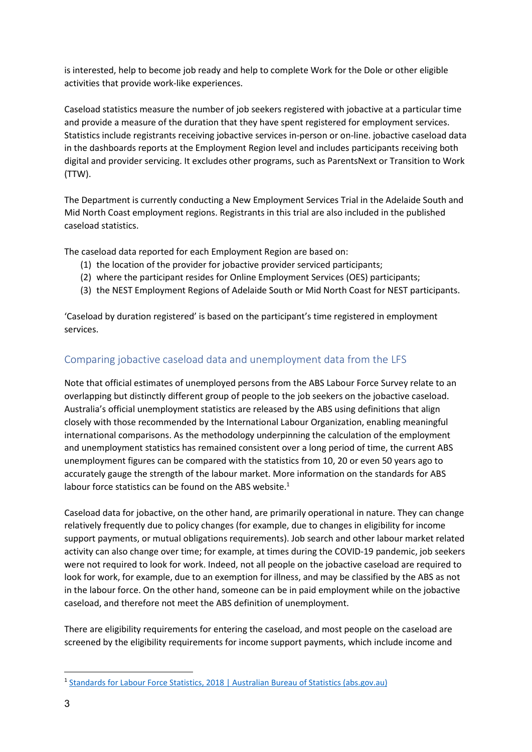is interested, help to become job ready and help to complete Work for the Dole or other eligible activities that provide work-like experiences.

Caseload statistics measure the number of job seekers registered with jobactive at a particular time and provide a measure of the duration that they have spent registered for employment services. Statistics include registrants receiving jobactive services in-person or on-line. jobactive caseload data in the dashboards reports at the Employment Region level and includes participants receiving both digital and provider servicing. It excludes other programs, such as ParentsNext or Transition to Work (TTW).

The Department is currently conducting a New Employment Services Trial in the Adelaide South and Mid North Coast employment regions. Registrants in this trial are also included in the published caseload statistics.

The caseload data reported for each Employment Region are based on:

- (1) the location of the provider for jobactive provider serviced participants;
- (2) where the participant resides for Online Employment Services (OES) participants;
- (3) the NEST Employment Regions of Adelaide South or Mid North Coast for NEST participants.

'Caseload by duration registered' is based on the participant's time registered in employment services.

## Comparing jobactive caseload data and unemployment data from the LFS

Note that official estimates of unemployed persons from the ABS Labour Force Survey relate to an overlapping but distinctly different group of people to the job seekers on the jobactive caseload. Australia's official unemployment statistics are released by the ABS using definitions that align closely with those recommended by the International Labour Organization, enabling meaningful international comparisons. As the methodology underpinning the calculation of the employment and unemployment statistics has remained consistent over a long period of time, the current ABS unemployment figures can be compared with the statistics from 10, 20 or even 50 years ago to accurately gauge the strength of the labour market. More information on the standards for ABS labour force statistics can be found on the ABS website.<sup>1</sup>

Caseload data for jobactive, on the other hand, are primarily operational in nature. They can change relatively frequently due to policy changes (for example, due to changes in eligibility for income support payments, or mutual obligations requirements). Job search and other labour market related activity can also change over time; for example, at times during the COVID-19 pandemic, job seekers were not required to look for work. Indeed, not all people on the jobactive caseload are required to look for work, for example, due to an exemption for illness, and may be classified by the ABS as not in the labour force. On the other hand, someone can be in paid employment while on the jobactive caseload, and therefore not meet the ABS definition of unemployment.

There are eligibility requirements for entering the caseload, and most people on the caseload are screened by the eligibility requirements for income support payments, which include income and

<sup>1</sup> Standards for Labour Force Statistics, 2018 | Australian Bureau of Statistics (abs.gov.au)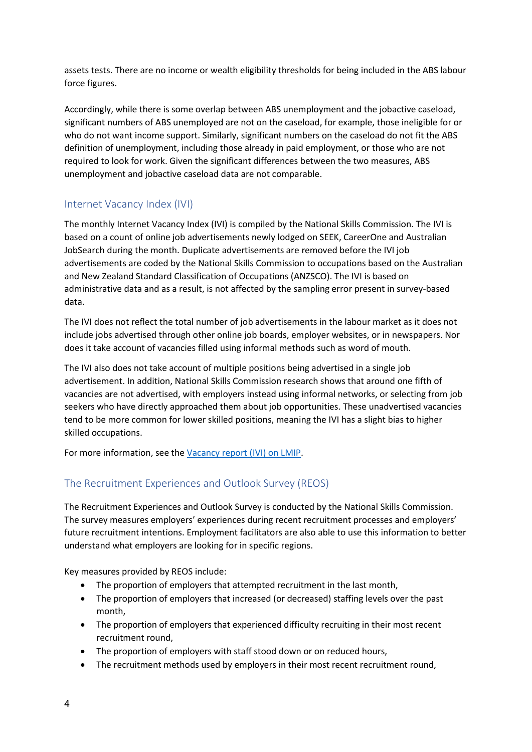assets tests. There are no income or wealth eligibility thresholds for being included in the ABS labour force figures.

Accordingly, while there is some overlap between ABS unemployment and the jobactive caseload, significant numbers of ABS unemployed are not on the caseload, for example, those ineligible for or who do not want income support. Similarly, significant numbers on the caseload do not fit the ABS definition of unemployment, including those already in paid employment, or those who are not required to look for work. Given the significant differences between the two measures, ABS unemployment and jobactive caseload data are not comparable.

## Internet Vacancy Index (IVI)

The monthly Internet Vacancy Index (IVI) is compiled by the National Skills Commission. The IVI is based on a count of online job advertisements newly lodged on SEEK, CareerOne and Australian JobSearch during the month. Duplicate advertisements are removed before the IVI job advertisements are coded by the National Skills Commission to occupations based on the Australian and New Zealand Standard Classification of Occupations (ANZSCO). The IVI is based on administrative data and as a result, is not affected by the sampling error present in survey-based data.

The IVI does not reflect the total number of job advertisements in the labour market as it does not include jobs advertised through other online job boards, employer websites, or in newspapers. Nor does it take account of vacancies filled using informal methods such as word of mouth.

The IVI also does not take account of multiple positions being advertised in a single job advertisement. In addition, National Skills Commission research shows that around one fifth of vacancies are not advertised, with employers instead using informal networks, or selecting from job seekers who have directly approached them about job opportunities. These unadvertised vacancies tend to be more common for lower skilled positions, meaning the IVI has a slight bias to higher skilled occupations.

For more information, see the Vacancy report (IVI) on LMIP.

## The Recruitment Experiences and Outlook Survey (REOS)

The Recruitment Experiences and Outlook Survey is conducted by the National Skills Commission. The survey measures employers' experiences during recent recruitment processes and employers' future recruitment intentions. Employment facilitators are also able to use this information to better understand what employers are looking for in specific regions.

Key measures provided by REOS include:

- The proportion of employers that attempted recruitment in the last month,
- The proportion of employers that increased (or decreased) staffing levels over the past month,
- The proportion of employers that experienced difficulty recruiting in their most recent recruitment round,
- The proportion of employers with staff stood down or on reduced hours,
- The recruitment methods used by employers in their most recent recruitment round,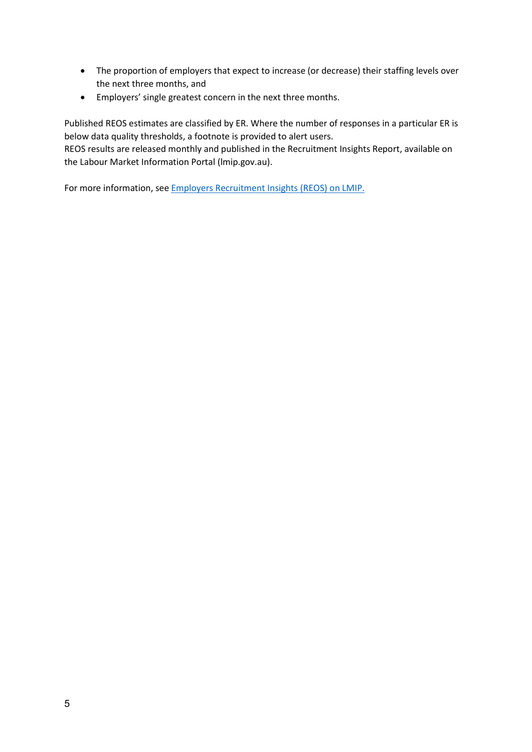- The proportion of employers that expect to increase (or decrease) their staffing levels over the next three months, and
- Employers' single greatest concern in the next three months.

Published REOS estimates are classified by ER. Where the number of responses in a particular ER is below data quality thresholds, a footnote is provided to alert users.

REOS results are released monthly and published in the Recruitment Insights Report, available on the Labour Market Information Portal (lmip.gov.au).

For more information, see Employers Recruitment Insights (REOS) on LMIP.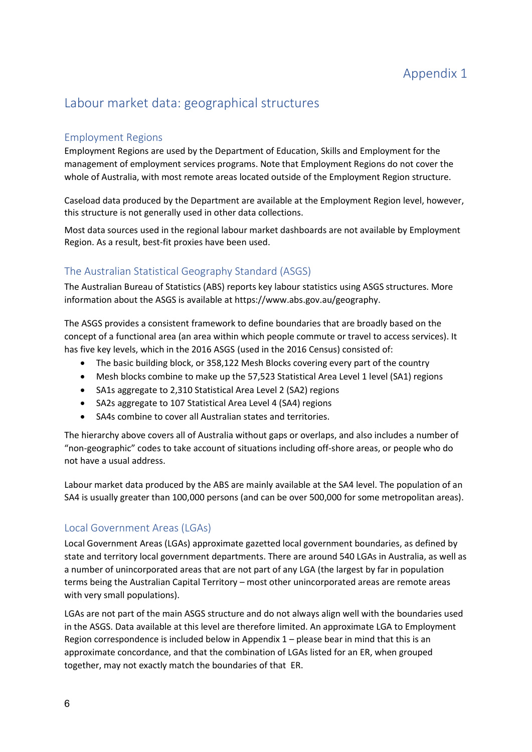# Labour market data: geographical structures

## Employment Regions

Employment Regions are used by the Department of Education, Skills and Employment for the management of employment services programs. Note that Employment Regions do not cover the whole of Australia, with most remote areas located outside of the Employment Region structure.

Caseload data produced by the Department are available at the Employment Region level, however, this structure is not generally used in other data collections.

Most data sources used in the regional labour market dashboards are not available by Employment Region. As a result, best-fit proxies have been used.

## The Australian Statistical Geography Standard (ASGS)

The Australian Bureau of Statistics (ABS) reports key labour statistics using ASGS structures. More information about the ASGS is available at https://www.abs.gov.au/geography.

The ASGS provides a consistent framework to define boundaries that are broadly based on the concept of a functional area (an area within which people commute or travel to access services). It has five key levels, which in the 2016 ASGS (used in the 2016 Census) consisted of:

- The basic building block, or 358,122 Mesh Blocks covering every part of the country
- Mesh blocks combine to make up the 57,523 Statistical Area Level 1 level (SA1) regions
- SA1s aggregate to 2,310 Statistical Area Level 2 (SA2) regions
- SA2s aggregate to 107 Statistical Area Level 4 (SA4) regions
- SA4s combine to cover all Australian states and territories.

The hierarchy above covers all of Australia without gaps or overlaps, and also includes a number of "non-geographic" codes to take account of situations including off-shore areas, or people who do not have a usual address.

Labour market data produced by the ABS are mainly available at the SA4 level. The population of an SA4 is usually greater than 100,000 persons (and can be over 500,000 for some metropolitan areas).

### Local Government Areas (LGAs)

Local Government Areas (LGAs) approximate gazetted local government boundaries, as defined by state and territory local government departments. There are around 540 LGAs in Australia, as well as a number of unincorporated areas that are not part of any LGA (the largest by far in population terms being the Australian Capital Territory – most other unincorporated areas are remote areas with very small populations).

LGAs are not part of the main ASGS structure and do not always align well with the boundaries used in the ASGS. Data available at this level are therefore limited. An approximate LGA to Employment Region correspondence is included below in Appendix 1 – please bear in mind that this is an approximate concordance, and that the combination of LGAs listed for an ER, when grouped together, may not exactly match the boundaries of that ER.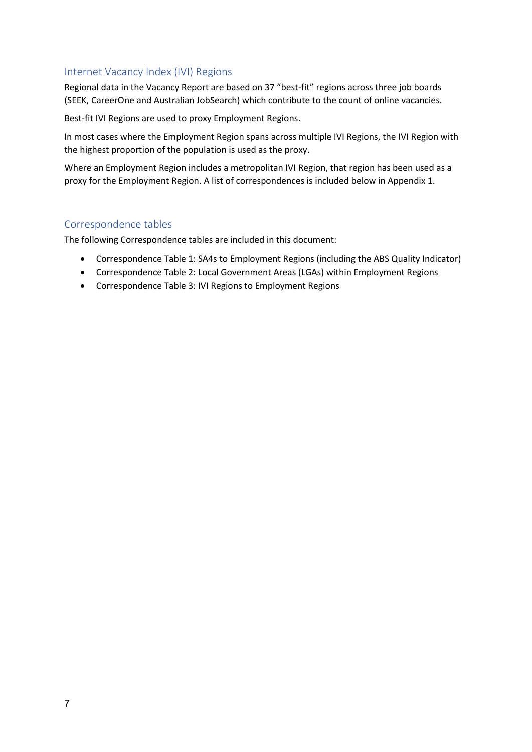### Internet Vacancy Index (IVI) Regions

Regional data in the Vacancy Report are based on 37 "best-fit" regions across three job boards (SEEK, CareerOne and Australian JobSearch) which contribute to the count of online vacancies.

Best-fit IVI Regions are used to proxy Employment Regions.

In most cases where the Employment Region spans across multiple IVI Regions, the IVI Region with the highest proportion of the population is used as the proxy.

Where an Employment Region includes a metropolitan IVI Region, that region has been used as a proxy for the Employment Region. A list of correspondences is included below in Appendix 1.

### Correspondence tables

The following Correspondence tables are included in this document:

- Correspondence Table 1: SA4s to Employment Regions (including the ABS Quality Indicator)
- Correspondence Table 2: Local Government Areas (LGAs) within Employment Regions
- Correspondence Table 3: IVI Regions to Employment Regions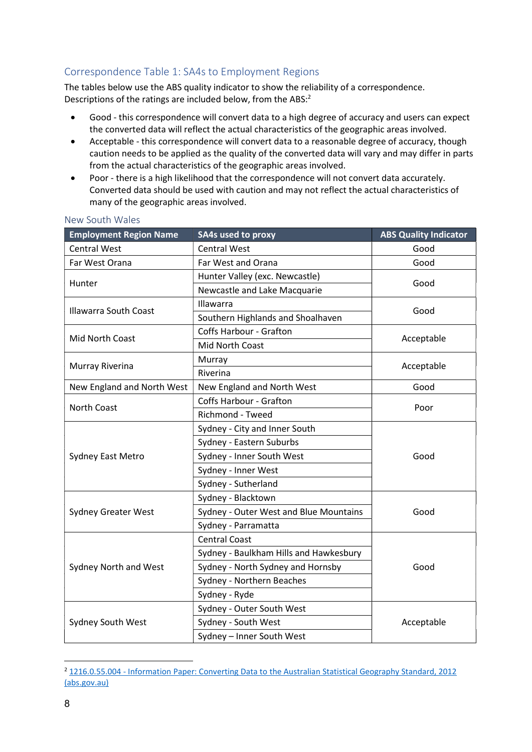## Correspondence Table 1: SA4s to Employment Regions

The tables below use the ABS quality indicator to show the reliability of a correspondence. Descriptions of the ratings are included below, from the ABS:<sup>2</sup>

- Good this correspondence will convert data to a high degree of accuracy and users can expect the converted data will reflect the actual characteristics of the geographic areas involved.
- Acceptable this correspondence will convert data to a reasonable degree of accuracy, though caution needs to be applied as the quality of the converted data will vary and may differ in parts from the actual characteristics of the geographic areas involved.
- Poor there is a high likelihood that the correspondence will not convert data accurately. Converted data should be used with caution and may not reflect the actual characteristics of many of the geographic areas involved.

| <b>Employment Region Name</b> | <b>SA4s used to proxy</b>              | <b>ABS Quality Indicator</b> |  |
|-------------------------------|----------------------------------------|------------------------------|--|
| <b>Central West</b>           | <b>Central West</b>                    | Good                         |  |
| Far West Orana                | Far West and Orana                     | Good                         |  |
|                               | Hunter Valley (exc. Newcastle)         |                              |  |
| Hunter                        | Newcastle and Lake Macquarie           | Good                         |  |
| <b>Illawarra South Coast</b>  | Illawarra                              | Good                         |  |
|                               | Southern Highlands and Shoalhaven      |                              |  |
| Mid North Coast               | Coffs Harbour - Grafton                |                              |  |
|                               | Mid North Coast                        | Acceptable                   |  |
|                               | Murray                                 |                              |  |
| Murray Riverina               | Riverina                               | Acceptable                   |  |
| New England and North West    | New England and North West             | Good                         |  |
|                               | <b>Coffs Harbour - Grafton</b>         |                              |  |
| <b>North Coast</b>            | <b>Richmond - Tweed</b>                | Poor                         |  |
|                               | Sydney - City and Inner South          |                              |  |
|                               | Sydney - Eastern Suburbs               |                              |  |
| <b>Sydney East Metro</b>      | Sydney - Inner South West              | Good                         |  |
|                               | Sydney - Inner West                    |                              |  |
|                               | Sydney - Sutherland                    |                              |  |
|                               | Sydney - Blacktown                     |                              |  |
| <b>Sydney Greater West</b>    | Sydney - Outer West and Blue Mountains | Good                         |  |
|                               | Sydney - Parramatta                    |                              |  |
|                               | <b>Central Coast</b>                   |                              |  |
|                               | Sydney - Baulkham Hills and Hawkesbury |                              |  |
| Sydney North and West         | Sydney - North Sydney and Hornsby      | Good                         |  |
|                               | Sydney - Northern Beaches              |                              |  |
|                               | Sydney - Ryde                          |                              |  |
|                               | Sydney - Outer South West              |                              |  |
| Sydney South West             | Sydney - South West<br>Acceptable      |                              |  |
|                               | Sydney - Inner South West              |                              |  |

#### New South Wales

<sup>2</sup> 1216.0.55.004 - Information Paper: Converting Data to the Australian Statistical Geography Standard, 2012 (abs.gov.au)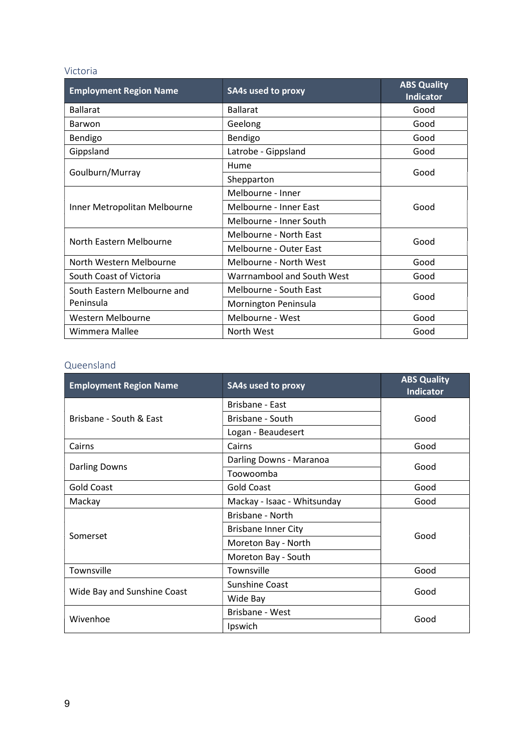#### Victoria

| <b>Employment Region Name</b> | <b>SA4s used to proxy</b>  | <b>ABS Quality</b><br><b>Indicator</b> |  |
|-------------------------------|----------------------------|----------------------------------------|--|
| <b>Ballarat</b>               | <b>Ballarat</b>            | Good                                   |  |
| Barwon                        | Geelong                    | Good                                   |  |
| Bendigo                       | Bendigo                    | Good                                   |  |
| Gippsland                     | Latrobe - Gippsland        | Good                                   |  |
|                               | Hume                       |                                        |  |
| Goulburn/Murray               | Shepparton                 | Good                                   |  |
|                               | Melbourne - Inner          |                                        |  |
| Inner Metropolitan Melbourne  | Melbourne - Inner East     | Good                                   |  |
|                               | Melbourne - Inner South    |                                        |  |
| North Eastern Melbourne       | Melbourne - North East     | Good                                   |  |
|                               | Melbourne - Outer East     |                                        |  |
| North Western Melbourne       | Melbourne - North West     | Good                                   |  |
| South Coast of Victoria       | Warrnambool and South West | Good                                   |  |
| South Eastern Melbourne and   | Melbourne - South East     | Good                                   |  |
| Peninsula                     | Mornington Peninsula       |                                        |  |
| Western Melbourne             | Melbourne - West           | Good                                   |  |
| Wimmera Mallee                | North West                 | Good                                   |  |

#### Queensland

| <b>Employment Region Name</b> | <b>SA4s used to proxy</b>   | <b>ABS Quality</b><br><b>Indicator</b> |  |
|-------------------------------|-----------------------------|----------------------------------------|--|
|                               | Brisbane - East             |                                        |  |
| Brisbane - South & East       | Brisbane - South            | Good                                   |  |
|                               | Logan - Beaudesert          |                                        |  |
| Cairns                        | Cairns                      | Good                                   |  |
|                               | Darling Downs - Maranoa     | Good                                   |  |
| <b>Darling Downs</b>          | Toowoomba                   |                                        |  |
| <b>Gold Coast</b>             | <b>Gold Coast</b>           | Good                                   |  |
| Mackay                        | Mackay - Isaac - Whitsunday | Good                                   |  |
|                               | Brisbane - North            | Good                                   |  |
| Somerset                      | <b>Brisbane Inner City</b>  |                                        |  |
|                               | Moreton Bay - North         |                                        |  |
|                               | Moreton Bay - South         |                                        |  |
| Townsville                    | Townsville                  | Good                                   |  |
|                               | <b>Sunshine Coast</b>       | Good                                   |  |
| Wide Bay and Sunshine Coast   | Wide Bay                    |                                        |  |
|                               | Brisbane - West             |                                        |  |
| Wivenhoe                      | Ipswich                     | Good                                   |  |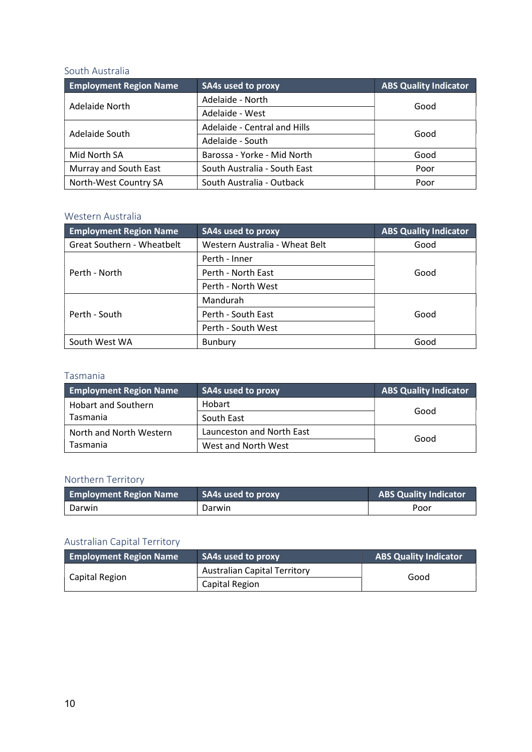### South Australia

| <b>Employment Region Name</b> | <b>SA4s used to proxy</b>         | <b>ABS Quality Indicator</b> |  |
|-------------------------------|-----------------------------------|------------------------------|--|
| Adelaide North                | Adelaide - North                  | Good                         |  |
|                               | Adelaide - West                   |                              |  |
| Adelaide South                | Adelaide - Central and Hills      |                              |  |
|                               | Adelaide - South                  | Good                         |  |
| Mid North SA                  | Barossa - Yorke - Mid North       | Good                         |  |
| Murray and South East         | South Australia - South East      | Poor                         |  |
| North-West Country SA         | South Australia - Outback<br>Poor |                              |  |

## Western Australia

| <b>Employment Region Name</b>     | <b>SA4s</b> used to proxy      | <b>ABS Quality Indicator</b> |  |
|-----------------------------------|--------------------------------|------------------------------|--|
| <b>Great Southern - Wheatbelt</b> | Western Australia - Wheat Belt | Good                         |  |
| Perth - Inner                     |                                |                              |  |
| Perth - North                     | Perth - North East             | Good                         |  |
|                                   | Perth - North West             |                              |  |
| Mandurah                          |                                |                              |  |
| Perth - South                     | Perth - South East             | Good                         |  |
|                                   | Perth - South West             |                              |  |
| South West WA                     | Bunbury                        | Good                         |  |

### Tasmania

| <b>Employment Region Name</b> | <b>SA4s used to proxy</b> | <b>ABS Quality Indicator</b> |
|-------------------------------|---------------------------|------------------------------|
| <b>Hobart and Southern</b>    | Hobart                    | Good                         |
| Tasmania                      | South East                |                              |
| North and North Western       | Launceston and North East | Good                         |
| Tasmania                      | West and North West       |                              |

# Northern Territory

| <b>Employment Region Name</b> | SA4s used to proxy | <b>ABS Quality Indicator</b> |
|-------------------------------|--------------------|------------------------------|
| Darwin                        | Darwin             | Poor                         |

## Australian Capital Territory

| <b>Employment Region Name</b> | SA4s used to proxy                  | <b>ABS Quality Indicator</b> |
|-------------------------------|-------------------------------------|------------------------------|
|                               | <b>Australian Capital Territory</b> | Good                         |
| Capital Region                | Capital Region                      |                              |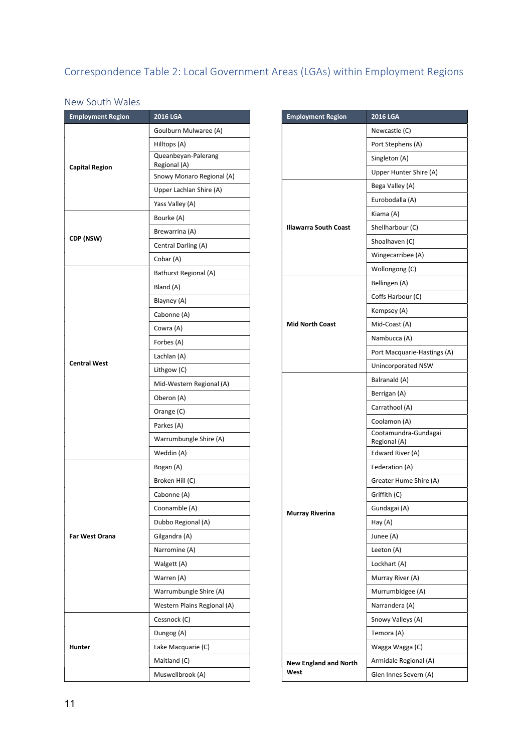# Correspondence Table 2: Local Government Areas (LGAs) within Employment Regions

### New South Wales

| <b>Employment Region</b> | <b>2016 LGA</b>                           |
|--------------------------|-------------------------------------------|
|                          | Goulburn Mulwaree (A)                     |
|                          | Hilltops (A)                              |
|                          | Queanbeyan-Palerang                       |
| <b>Capital Region</b>    | Regional (A)<br>Snowy Monaro Regional (A) |
|                          | Upper Lachlan Shire (A)                   |
|                          | Yass Valley (A)                           |
|                          | Bourke (A)                                |
|                          | Brewarrina (A)                            |
| CDP (NSW)                | Central Darling (A)                       |
|                          | Cobar (A)                                 |
|                          | Bathurst Regional (A)                     |
|                          | Bland (A)                                 |
|                          | Blayney (A)                               |
|                          | Cabonne (A)                               |
|                          | Cowra (A)                                 |
|                          |                                           |
|                          | Forbes (A)<br>Lachlan (A)                 |
| <b>Central West</b>      |                                           |
|                          | Lithgow (C)                               |
|                          | Mid-Western Regional (A)                  |
|                          | Oberon (A)                                |
|                          | Orange (C)                                |
|                          | Parkes (A)                                |
|                          | Warrumbungle Shire (A)                    |
|                          | Weddin (A)                                |
|                          | Bogan (A)                                 |
|                          | Broken Hill (C)                           |
|                          | Cabonne (A)                               |
|                          | Coonamble (A)                             |
|                          | Dubbo Regional (A)                        |
| <b>Far West Orana</b>    | Gilgandra (A)                             |
|                          | Narromine (A)                             |
|                          | Walgett (A)                               |
|                          | Warren (A)                                |
|                          | Warrumbungle Shire (A)                    |
|                          | Western Plains Regional (A)               |
|                          | Cessnock (C)                              |
|                          | Dungog (A)                                |
| Hunter                   | Lake Macquarie (C)                        |
|                          | Maitland (C)                              |
|                          | Muswellbrook (A)                          |

| <b>Employment Region</b>             | <b>2016 LGA</b>                      |
|--------------------------------------|--------------------------------------|
|                                      | Newcastle (C)                        |
|                                      | Port Stephens (A)                    |
|                                      | Singleton (A)                        |
|                                      | Upper Hunter Shire (A)               |
|                                      | Bega Valley (A)                      |
|                                      | Eurobodalla (A)                      |
|                                      | Kiama (A)                            |
| <b>Illawarra South Coast</b>         | Shellharbour (C)                     |
|                                      | Shoalhaven (C)                       |
|                                      | Wingecarribee (A)                    |
|                                      | Wollongong (C)                       |
|                                      | Bellingen (A)                        |
|                                      | Coffs Harbour (C)                    |
|                                      | Kempsey (A)                          |
| <b>Mid North Coast</b>               | Mid-Coast (A)                        |
|                                      | Nambucca (A)                         |
|                                      | Port Macquarie-Hastings (A)          |
|                                      | Unincorporated NSW                   |
|                                      | Balranald (A)                        |
|                                      | Berrigan (A)                         |
|                                      | Carrathool (A)                       |
|                                      | Coolamon (A)                         |
|                                      | Cootamundra-Gundagai<br>Regional (A) |
|                                      | Edward River (A)                     |
|                                      | Federation (A)                       |
|                                      | Greater Hume Shire (A)               |
|                                      | Griffith (C)                         |
| Murray Riverina                      | Gundagai (A)                         |
|                                      | Hay (A)                              |
|                                      | Junee (A)                            |
|                                      | Leeton (A)                           |
|                                      | Lockhart (A)                         |
|                                      | Murray River (A)                     |
|                                      | Murrumbidgee (A)                     |
|                                      | Narrandera (A)                       |
|                                      | Snowy Valleys (A)                    |
|                                      | Temora (A)                           |
|                                      | Wagga Wagga (C)                      |
| <b>New England and North</b><br>West | Armidale Regional (A)                |
|                                      | Glen Innes Severn (A)                |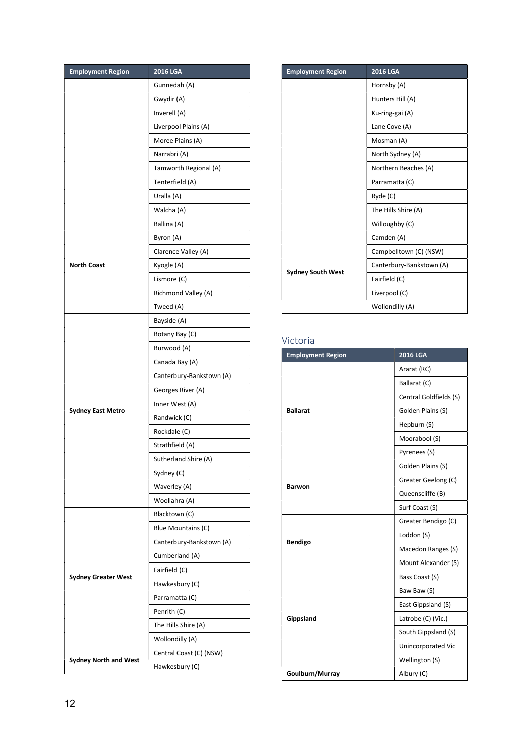| <b>Employment Region</b>     | <b>2016 LGA</b>          |
|------------------------------|--------------------------|
|                              | Gunnedah (A)             |
|                              | Gwydir (A)               |
|                              | Inverell (A)             |
|                              | Liverpool Plains (A)     |
|                              | Moree Plains (A)         |
|                              | Narrabri (A)             |
|                              | Tamworth Regional (A)    |
|                              | Tenterfield (A)          |
|                              | Uralla (A)               |
|                              | Walcha (A)               |
|                              | Ballina (A)              |
|                              | Byron (A)                |
|                              | Clarence Valley (A)      |
| <b>North Coast</b>           | Kyogle (A)               |
|                              | Lismore (C)              |
|                              | Richmond Valley (A)      |
|                              | Tweed (A)                |
|                              | Bayside (A)              |
|                              | Botany Bay (C)           |
|                              | Burwood (A)              |
|                              | Canada Bay (A)           |
|                              | Canterbury-Bankstown (A) |
|                              | Georges River (A)        |
|                              | Inner West (A)           |
| <b>Sydney East Metro</b>     | Randwick (C)             |
|                              | Rockdale (C)             |
|                              | Strathfield (A)          |
|                              | Sutherland Shire (A)     |
|                              | Sydney (C)               |
|                              | Waverley (A)             |
|                              | Woollahra (A)            |
|                              | Blacktown (C)            |
|                              | Blue Mountains (C)       |
|                              | Canterbury-Bankstown (A) |
|                              | Cumberland (A)           |
|                              | Fairfield (C)            |
| <b>Sydney Greater West</b>   | Hawkesbury (C)           |
|                              | Parramatta (C)           |
|                              | Penrith (C)              |
|                              | The Hills Shire (A)      |
|                              | Wollondilly (A)          |
|                              | Central Coast (C) (NSW)  |
| <b>Sydney North and West</b> | Hawkesbury (C)           |

| <b>Employment Region</b> | <b>2016 LGA</b>          |
|--------------------------|--------------------------|
|                          | Hornsby (A)              |
|                          | Hunters Hill (A)         |
|                          | Ku-ring-gai (A)          |
|                          | Lane Cove (A)            |
|                          | Mosman (A)               |
|                          | North Sydney (A)         |
|                          | Northern Beaches (A)     |
|                          | Parramatta (C)           |
|                          | Ryde (C)                 |
|                          | The Hills Shire (A)      |
|                          | Willoughby (C)           |
|                          | Camden (A)               |
|                          | Campbelltown (C) (NSW)   |
| <b>Sydney South West</b> | Canterbury-Bankstown (A) |
|                          | Fairfield (C)            |
|                          | Liverpool (C)            |
|                          | Wollondilly (A)          |

## Victoria

| <b>Employment Region</b> | <b>2016 LGA</b>        |
|--------------------------|------------------------|
|                          | Ararat (RC)            |
|                          | Ballarat (C)           |
|                          | Central Goldfields (S) |
| <b>Ballarat</b>          | Golden Plains (S)      |
|                          | Hepburn (S)            |
|                          | Moorabool (S)          |
|                          | Pyrenees (S)           |
|                          | Golden Plains (S)      |
|                          | Greater Geelong (C)    |
| <b>Barwon</b>            | Queenscliffe (B)       |
|                          | Surf Coast (S)         |
| <b>Bendigo</b>           | Greater Bendigo (C)    |
|                          | Loddon (S)             |
|                          | Macedon Ranges (S)     |
|                          | Mount Alexander (S)    |
|                          | Bass Coast (S)         |
|                          | Baw Baw (S)            |
| Gippsland                | East Gippsland (S)     |
|                          | Latrobe (C) (Vic.)     |
|                          | South Gippsland (S)    |
|                          | Unincorporated Vic     |
|                          | Wellington (S)         |
| Goulburn/Murray          | Albury (C)             |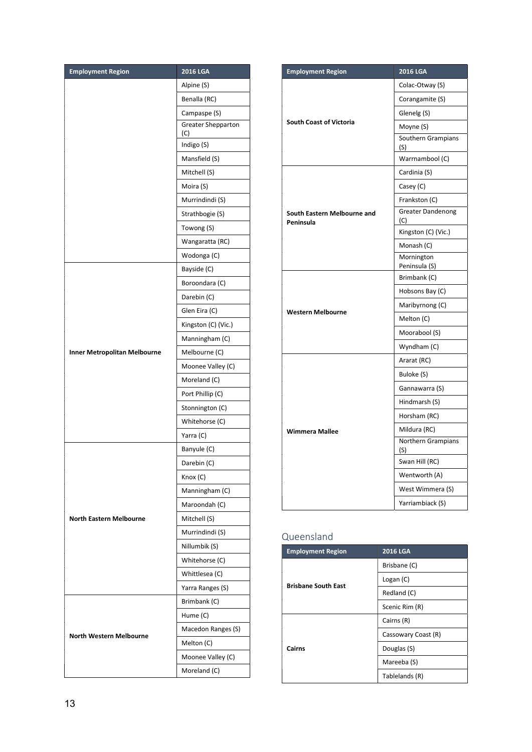| <b>Employment Region</b>            | <b>2016 LGA</b>                  |  |  |
|-------------------------------------|----------------------------------|--|--|
|                                     | Alpine (S)                       |  |  |
|                                     | Benalla (RC)                     |  |  |
|                                     | Campaspe (S)                     |  |  |
|                                     | <b>Greater Shepparton</b><br>(C) |  |  |
|                                     | Indigo (S)                       |  |  |
|                                     | Mansfield (S)                    |  |  |
|                                     | Mitchell (S)                     |  |  |
|                                     | Moira (S)                        |  |  |
|                                     | Murrindindi (S)                  |  |  |
|                                     | Strathbogie (S)                  |  |  |
|                                     | Towong (S)                       |  |  |
|                                     | Wangaratta (RC)                  |  |  |
|                                     | Wodonga (C)                      |  |  |
|                                     | Bayside (C)                      |  |  |
|                                     | Boroondara (C)                   |  |  |
|                                     | Darebin (C)                      |  |  |
|                                     | Glen Eira (C)                    |  |  |
|                                     | Kingston (C) (Vic.)              |  |  |
|                                     | Manningham (C)                   |  |  |
| <b>Inner Metropolitan Melbourne</b> | Melbourne (C)                    |  |  |
|                                     | Moonee Valley (C)                |  |  |
|                                     | Moreland (C)                     |  |  |
|                                     | Port Phillip (C)                 |  |  |
|                                     | Stonnington (C)                  |  |  |
|                                     | Whitehorse (C)                   |  |  |
|                                     | Yarra (C)                        |  |  |
|                                     | Banyule (C)                      |  |  |
|                                     | Darebin (C)                      |  |  |
|                                     | Knox (C)                         |  |  |
|                                     | Manningham (C)                   |  |  |
|                                     | Maroondah (C)                    |  |  |
| <b>North Eastern Melbourne</b>      | Mitchell (S)                     |  |  |
|                                     | Murrindindi (S)                  |  |  |
|                                     | Nillumbik (S)                    |  |  |
|                                     | Whitehorse (C)                   |  |  |
|                                     | Whittlesea (C)                   |  |  |
|                                     | Yarra Ranges (S)                 |  |  |
|                                     | Brimbank (C)                     |  |  |
|                                     | Hume (C)                         |  |  |
| <b>North Western Melbourne</b>      | Macedon Ranges (S)               |  |  |
|                                     | Melton (C)                       |  |  |
|                                     | Moonee Valley (C)                |  |  |
|                                     | Moreland (C)                     |  |  |

| <b>Employment Region</b>                 | 2016 LGA                        |  |
|------------------------------------------|---------------------------------|--|
|                                          | Colac-Otway (S)                 |  |
|                                          | Corangamite (S)                 |  |
|                                          | Glenelg (S)                     |  |
| <b>South Coast of Victoria</b>           | Moyne (S)                       |  |
|                                          | Southern Grampians<br>(S)       |  |
|                                          | Warrnambool (C)                 |  |
|                                          | Cardinia (S)                    |  |
|                                          | Casey (C)                       |  |
|                                          | Frankston (C)                   |  |
| South Eastern Melbourne and<br>Peninsula | <b>Greater Dandenong</b><br>(C) |  |
|                                          | Kingston (C) (Vic.)             |  |
|                                          | Monash (C)                      |  |
|                                          | Mornington<br>Peninsula (S)     |  |
| <b>Western Melbourne</b>                 | Brimbank (C)                    |  |
|                                          | Hobsons Bay (C)                 |  |
|                                          | Maribyrnong (C)                 |  |
|                                          | Melton (C)                      |  |
|                                          | Moorabool (S)                   |  |
|                                          | Wyndham (C)                     |  |
|                                          | Ararat (RC)                     |  |
|                                          | Buloke (S)                      |  |
|                                          | Gannawarra (S)                  |  |
| <b>Wimmera Mallee</b>                    | Hindmarsh (S)                   |  |
|                                          | Horsham (RC)                    |  |
|                                          | Mildura (RC)                    |  |
|                                          | Northern Grampians<br>(S)       |  |
|                                          | Swan Hill (RC)                  |  |
|                                          | Wentworth (A)                   |  |
|                                          | West Wimmera (S)                |  |
|                                          | Yarriambiack (S)                |  |

## Queensland

| <b>Employment Region</b>             | <b>2016 LGA</b>     |  |
|--------------------------------------|---------------------|--|
| <b>Brisbane South East</b><br>Cairns | Brisbane (C)        |  |
|                                      | Logan (C)           |  |
|                                      | Redland (C)         |  |
|                                      | Scenic Rim (R)      |  |
|                                      | Cairns (R)          |  |
|                                      | Cassowary Coast (R) |  |
|                                      | Douglas (S)         |  |
|                                      | Mareeba (S)         |  |
|                                      | Tablelands (R)      |  |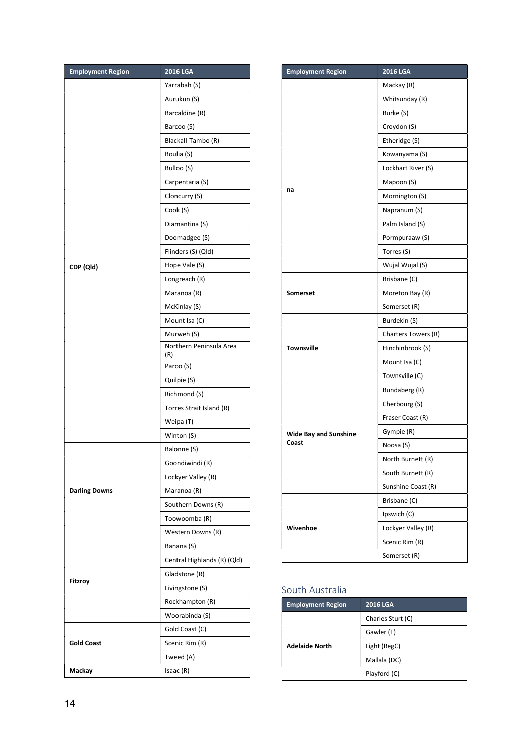| <b>Employment Region</b> | 2016 LGA                       |  |
|--------------------------|--------------------------------|--|
|                          | Yarrabah (S)                   |  |
|                          | Aurukun (S)                    |  |
|                          | Barcaldine (R)                 |  |
|                          | Barcoo (S)                     |  |
|                          | Blackall-Tambo (R)             |  |
|                          | Boulia (S)                     |  |
|                          | Bulloo (S)                     |  |
|                          | Carpentaria (S)                |  |
|                          | Cloncurry (S)                  |  |
|                          | Cook (S)                       |  |
|                          | Diamantina (S)                 |  |
|                          | Doomadgee (S)                  |  |
|                          | Flinders (S) (Qld)             |  |
| CDP (Qld)                | Hope Vale (S)                  |  |
|                          | Longreach (R)                  |  |
|                          | Maranoa (R)                    |  |
|                          | McKinlay (S)                   |  |
|                          | Mount Isa (C)                  |  |
|                          | Murweh (S)                     |  |
|                          | Northern Peninsula Area<br>(R) |  |
|                          | Paroo (S)                      |  |
|                          | Quilpie (S)                    |  |
|                          | Richmond (S)                   |  |
|                          | Torres Strait Island (R)       |  |
|                          | Weipa (T)                      |  |
|                          | Winton (S)                     |  |
|                          | Balonne (S)                    |  |
|                          | Goondiwindi (R)                |  |
|                          | Lockyer Valley (R)             |  |
| <b>Darling Downs</b>     | Maranoa (R)                    |  |
|                          | Southern Downs (R)             |  |
|                          | Toowoomba (R)                  |  |
|                          | Western Downs (R)              |  |
|                          | Banana (S)                     |  |
| <b>Fitzroy</b>           | Central Highlands (R) (Qld)    |  |
|                          | Gladstone (R)                  |  |
|                          | Livingstone (S)                |  |
|                          |                                |  |
|                          | Rockhampton (R)                |  |
|                          | Woorabinda (S)                 |  |
|                          | Gold Coast (C)                 |  |
| <b>Gold Coast</b>        | Scenic Rim (R)                 |  |
|                          | Tweed (A)                      |  |

| <b>Employment Region</b>     | 2016 LGA            |  |
|------------------------------|---------------------|--|
|                              | Mackay (R)          |  |
|                              | Whitsunday (R)      |  |
|                              | Burke (S)           |  |
|                              | Croydon (S)         |  |
|                              | Etheridge (S)       |  |
|                              | Kowanyama (S)       |  |
|                              | Lockhart River (S)  |  |
|                              | Mapoon (S)          |  |
| na                           | Mornington (S)      |  |
|                              | Napranum (S)        |  |
|                              | Palm Island (S)     |  |
|                              | Pormpuraaw (S)      |  |
|                              | Torres (S)          |  |
|                              | Wujal Wujal (S)     |  |
|                              | Brisbane (C)        |  |
| Somerset                     | Moreton Bay (R)     |  |
|                              | Somerset (R)        |  |
|                              | Burdekin (S)        |  |
| <b>Townsville</b>            | Charters Towers (R) |  |
|                              | Hinchinbrook (S)    |  |
|                              | Mount Isa (C)       |  |
|                              | Townsville (C)      |  |
|                              | Bundaberg (R)       |  |
|                              | Cherbourg (S)       |  |
|                              | Fraser Coast (R)    |  |
| <b>Wide Bay and Sunshine</b> | Gympie (R)          |  |
| Coast                        | Noosa (S)           |  |
|                              | North Burnett (R)   |  |
|                              | South Burnett (R)   |  |
|                              | Sunshine Coast (R)  |  |
|                              | Brisbane (C)        |  |
|                              | Ipswich (C)         |  |
| Wivenhoe                     | Lockyer Valley (R)  |  |
|                              | Scenic Rim (R)      |  |
|                              | Somerset (R)        |  |

## South Australia

| <b>Employment Region</b> | <b>2016 LGA</b>   |
|--------------------------|-------------------|
|                          | Charles Sturt (C) |
|                          | Gawler (T)        |
| <b>Adelaide North</b>    | Light (RegC)      |
|                          | Mallala (DC)      |
|                          | Playford (C)      |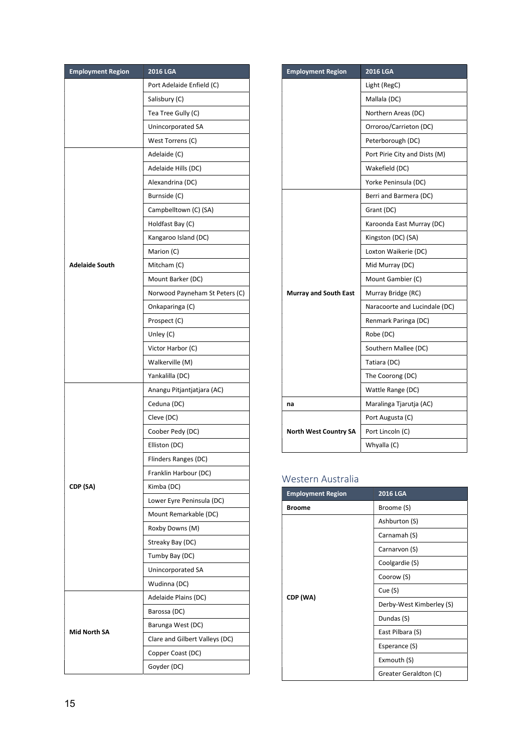| <b>Employment Region</b> | <b>2016 LGA</b>                |  |
|--------------------------|--------------------------------|--|
|                          | Port Adelaide Enfield (C)      |  |
|                          | Salisbury (C)                  |  |
|                          | Tea Tree Gully (C)             |  |
|                          | Unincorporated SA              |  |
|                          | West Torrens (C)               |  |
|                          | Adelaide (C)                   |  |
|                          | Adelaide Hills (DC)            |  |
|                          | Alexandrina (DC)               |  |
|                          | Burnside (C)                   |  |
|                          | Campbelltown (C) (SA)          |  |
|                          | Holdfast Bay (C)               |  |
|                          | Kangaroo Island (DC)           |  |
|                          | Marion (C)                     |  |
| <b>Adelaide South</b>    | Mitcham (C)                    |  |
|                          | Mount Barker (DC)              |  |
|                          | Norwood Payneham St Peters (C) |  |
|                          | Onkaparinga (C)                |  |
|                          | Prospect (C)                   |  |
|                          | Unley (C)                      |  |
|                          | Victor Harbor (C)              |  |
|                          | Walkerville (M)                |  |
|                          | Yankalilla (DC)                |  |
|                          | Anangu Pitjantjatjara (AC)     |  |
|                          | Ceduna (DC)                    |  |
|                          | Cleve (DC)                     |  |
|                          | Coober Pedy (DC)               |  |
|                          | Elliston (DC)                  |  |
|                          | Flinders Ranges (DC)           |  |
|                          | Franklin Harbour (DC)          |  |
| CDP (SA)                 | Kimba (DC)                     |  |
|                          | Lower Eyre Peninsula (DC)      |  |
|                          | Mount Remarkable (DC)          |  |
|                          | Roxby Downs (M)                |  |
|                          | Streaky Bay (DC)               |  |
|                          | Tumby Bay (DC)                 |  |
|                          | Unincorporated SA              |  |
|                          | Wudinna (DC)                   |  |
|                          | Adelaide Plains (DC)           |  |
|                          | Barossa (DC)                   |  |
|                          | Barunga West (DC)              |  |
| <b>Mid North SA</b>      | Clare and Gilbert Valleys (DC) |  |
|                          | Copper Coast (DC)              |  |
|                          | Goyder (DC)                    |  |
|                          |                                |  |

| <b>Employment Region</b>     | <b>2016 LGA</b>               |  |
|------------------------------|-------------------------------|--|
|                              | Light (RegC)                  |  |
|                              | Mallala (DC)                  |  |
|                              | Northern Areas (DC)           |  |
|                              | Orroroo/Carrieton (DC)        |  |
|                              | Peterborough (DC)             |  |
|                              | Port Pirie City and Dists (M) |  |
|                              | Wakefield (DC)                |  |
|                              | Yorke Peninsula (DC)          |  |
|                              | Berri and Barmera (DC)        |  |
|                              | Grant (DC)                    |  |
|                              | Karoonda East Murray (DC)     |  |
|                              | Kingston (DC) (SA)            |  |
|                              | Loxton Waikerie (DC)          |  |
|                              | Mid Murray (DC)               |  |
|                              | Mount Gambier (C)             |  |
| <b>Murray and South East</b> | Murray Bridge (RC)            |  |
|                              | Naracoorte and Lucindale (DC) |  |
|                              | Renmark Paringa (DC)          |  |
|                              | Robe (DC)                     |  |
|                              | Southern Mallee (DC)          |  |
|                              | Tatiara (DC)                  |  |
|                              | The Coorong (DC)              |  |
|                              | Wattle Range (DC)             |  |
| na                           | Maralinga Tjarutja (AC)       |  |
|                              | Port Augusta (C)              |  |
| <b>North West Country SA</b> | Port Lincoln (C)              |  |
|                              | Whyalla (C)                   |  |

### Western Australia

| <b>Employment Region</b> | <b>2016 LGA</b>          |  |
|--------------------------|--------------------------|--|
| <b>Broome</b>            | Broome (S)               |  |
| CDP (WA)                 | Ashburton (S)            |  |
|                          | Carnamah (S)             |  |
|                          | Carnarvon (S)            |  |
|                          | Coolgardie (S)           |  |
|                          | Coorow (S)               |  |
|                          | Cue(S)                   |  |
|                          | Derby-West Kimberley (S) |  |
|                          | Dundas (S)               |  |
|                          | East Pilbara (S)         |  |
|                          | Esperance (S)            |  |
|                          | Exmouth (S)              |  |
|                          | Greater Geraldton (C)    |  |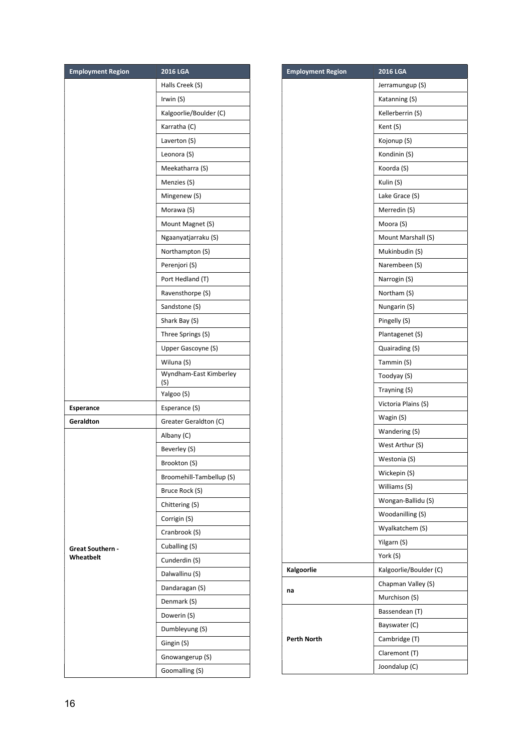| Halls Creek (S)<br>Irwin (S)<br>Kalgoorlie/Boulder (C)<br>Karratha (C)<br>Laverton (S)<br>Leonora (S)<br>Meekatharra (S)<br>Menzies (S)<br>Mingenew (S)<br>Morawa (S)<br>Mount Magnet (S)<br>Ngaanyatjarraku (S)<br>Northampton (S)<br>Perenjori (S)<br>Port Hedland (T)<br>Ravensthorpe (S)<br>Sandstone (S)<br>Shark Bay (S)<br>Three Springs (S)<br>Upper Gascoyne (S)<br>Wiluna (S)<br>Wyndham-East Kimberley<br>(S)<br>Yalgoo (S)<br>Esperance (S)<br>Esperance<br>Greater Geraldton (C)<br>Geraldton<br>Albany (C)<br>Beverley (S)<br>Brookton (S)<br>Broomehill-Tambellup (S)<br>Bruce Rock (S) | <b>Employment Region</b> | 2016 LGA | <b>Employment Region</b> |
|--------------------------------------------------------------------------------------------------------------------------------------------------------------------------------------------------------------------------------------------------------------------------------------------------------------------------------------------------------------------------------------------------------------------------------------------------------------------------------------------------------------------------------------------------------------------------------------------------------|--------------------------|----------|--------------------------|
|                                                                                                                                                                                                                                                                                                                                                                                                                                                                                                                                                                                                        |                          |          |                          |
|                                                                                                                                                                                                                                                                                                                                                                                                                                                                                                                                                                                                        |                          |          |                          |
|                                                                                                                                                                                                                                                                                                                                                                                                                                                                                                                                                                                                        |                          |          |                          |
|                                                                                                                                                                                                                                                                                                                                                                                                                                                                                                                                                                                                        |                          |          |                          |
|                                                                                                                                                                                                                                                                                                                                                                                                                                                                                                                                                                                                        |                          |          |                          |
|                                                                                                                                                                                                                                                                                                                                                                                                                                                                                                                                                                                                        |                          |          |                          |
|                                                                                                                                                                                                                                                                                                                                                                                                                                                                                                                                                                                                        |                          |          |                          |
|                                                                                                                                                                                                                                                                                                                                                                                                                                                                                                                                                                                                        |                          |          |                          |
|                                                                                                                                                                                                                                                                                                                                                                                                                                                                                                                                                                                                        |                          |          |                          |
|                                                                                                                                                                                                                                                                                                                                                                                                                                                                                                                                                                                                        |                          |          |                          |
|                                                                                                                                                                                                                                                                                                                                                                                                                                                                                                                                                                                                        |                          |          |                          |
|                                                                                                                                                                                                                                                                                                                                                                                                                                                                                                                                                                                                        |                          |          |                          |
|                                                                                                                                                                                                                                                                                                                                                                                                                                                                                                                                                                                                        |                          |          |                          |
|                                                                                                                                                                                                                                                                                                                                                                                                                                                                                                                                                                                                        |                          |          |                          |
|                                                                                                                                                                                                                                                                                                                                                                                                                                                                                                                                                                                                        |                          |          |                          |
|                                                                                                                                                                                                                                                                                                                                                                                                                                                                                                                                                                                                        |                          |          |                          |
|                                                                                                                                                                                                                                                                                                                                                                                                                                                                                                                                                                                                        |                          |          |                          |
|                                                                                                                                                                                                                                                                                                                                                                                                                                                                                                                                                                                                        |                          |          |                          |
|                                                                                                                                                                                                                                                                                                                                                                                                                                                                                                                                                                                                        |                          |          |                          |
|                                                                                                                                                                                                                                                                                                                                                                                                                                                                                                                                                                                                        |                          |          |                          |
|                                                                                                                                                                                                                                                                                                                                                                                                                                                                                                                                                                                                        |                          |          |                          |
|                                                                                                                                                                                                                                                                                                                                                                                                                                                                                                                                                                                                        |                          |          |                          |
|                                                                                                                                                                                                                                                                                                                                                                                                                                                                                                                                                                                                        |                          |          |                          |
|                                                                                                                                                                                                                                                                                                                                                                                                                                                                                                                                                                                                        |                          |          |                          |
|                                                                                                                                                                                                                                                                                                                                                                                                                                                                                                                                                                                                        |                          |          |                          |
|                                                                                                                                                                                                                                                                                                                                                                                                                                                                                                                                                                                                        |                          |          |                          |
|                                                                                                                                                                                                                                                                                                                                                                                                                                                                                                                                                                                                        |                          |          |                          |
|                                                                                                                                                                                                                                                                                                                                                                                                                                                                                                                                                                                                        | Great Southern -         |          |                          |
|                                                                                                                                                                                                                                                                                                                                                                                                                                                                                                                                                                                                        |                          |          |                          |
|                                                                                                                                                                                                                                                                                                                                                                                                                                                                                                                                                                                                        |                          |          |                          |
| Chittering (S)                                                                                                                                                                                                                                                                                                                                                                                                                                                                                                                                                                                         |                          |          |                          |
| Corrigin (S)                                                                                                                                                                                                                                                                                                                                                                                                                                                                                                                                                                                           |                          |          |                          |
| Cranbrook (S)                                                                                                                                                                                                                                                                                                                                                                                                                                                                                                                                                                                          |                          |          |                          |
| Cuballing (S)                                                                                                                                                                                                                                                                                                                                                                                                                                                                                                                                                                                          |                          |          |                          |
| Wheatbelt<br>Cunderdin (S)                                                                                                                                                                                                                                                                                                                                                                                                                                                                                                                                                                             |                          |          |                          |
| Kalgoorlie<br>Dalwallinu (S)                                                                                                                                                                                                                                                                                                                                                                                                                                                                                                                                                                           |                          |          |                          |
| Dandaragan (S)<br>na                                                                                                                                                                                                                                                                                                                                                                                                                                                                                                                                                                                   |                          |          |                          |
| Denmark (S)                                                                                                                                                                                                                                                                                                                                                                                                                                                                                                                                                                                            |                          |          |                          |
| Dowerin (S)                                                                                                                                                                                                                                                                                                                                                                                                                                                                                                                                                                                            |                          |          |                          |
| Dumbleyung (S)                                                                                                                                                                                                                                                                                                                                                                                                                                                                                                                                                                                         |                          |          |                          |
| <b>Perth North</b><br>Gingin (S)                                                                                                                                                                                                                                                                                                                                                                                                                                                                                                                                                                       |                          |          |                          |
| Gnowangerup (S)                                                                                                                                                                                                                                                                                                                                                                                                                                                                                                                                                                                        |                          |          |                          |
| Goomalling (S)                                                                                                                                                                                                                                                                                                                                                                                                                                                                                                                                                                                         |                          |          |                          |

| Jerramungup (S)<br>Katanning (S)<br>Kellerberrin (S)<br>Kent (S)<br>Kojonup (S)<br>Kondinin (S)<br>Koorda (S)<br>Kulin (S)<br>Lake Grace (S)<br>Merredin (S)<br>Moora (S)<br>Mount Marshall (S)<br>Mukinbudin (S)<br>Narembeen (S)<br>Narrogin (S)<br>Northam (S)<br>Nungarin (S)<br>Pingelly (S)<br>Plantagenet (S)<br>Quairading (S)<br>Tammin (S)<br>Toodyay (S)<br>Trayning (S)<br>Victoria Plains (S)<br>Wagin (S)<br>Wandering (S)<br>West Arthur (S)<br>Westonia (S)<br>Wickepin (S)<br>Williams (S)<br>Wongan-Ballidu (S)<br>Woodanilling (S)<br>Wyalkatchem (S)<br>Yilgarn (S)<br>York (S)<br>Kalgoorlie/Boulder (C)<br>Chapman Valley (S)<br>na<br>Murchison (S)<br>Bassendean (T)<br>Bayswater (C)<br>Cambridge (T)<br>Claremont (T)<br>Joondalup (C) | <b>Employment Region</b> | <b>2016 LGA</b> |
|------------------------------------------------------------------------------------------------------------------------------------------------------------------------------------------------------------------------------------------------------------------------------------------------------------------------------------------------------------------------------------------------------------------------------------------------------------------------------------------------------------------------------------------------------------------------------------------------------------------------------------------------------------------------------------------------------------------------------------------------------------------|--------------------------|-----------------|
|                                                                                                                                                                                                                                                                                                                                                                                                                                                                                                                                                                                                                                                                                                                                                                  |                          |                 |
|                                                                                                                                                                                                                                                                                                                                                                                                                                                                                                                                                                                                                                                                                                                                                                  |                          |                 |
|                                                                                                                                                                                                                                                                                                                                                                                                                                                                                                                                                                                                                                                                                                                                                                  |                          |                 |
|                                                                                                                                                                                                                                                                                                                                                                                                                                                                                                                                                                                                                                                                                                                                                                  |                          |                 |
|                                                                                                                                                                                                                                                                                                                                                                                                                                                                                                                                                                                                                                                                                                                                                                  |                          |                 |
|                                                                                                                                                                                                                                                                                                                                                                                                                                                                                                                                                                                                                                                                                                                                                                  |                          |                 |
|                                                                                                                                                                                                                                                                                                                                                                                                                                                                                                                                                                                                                                                                                                                                                                  |                          |                 |
|                                                                                                                                                                                                                                                                                                                                                                                                                                                                                                                                                                                                                                                                                                                                                                  |                          |                 |
|                                                                                                                                                                                                                                                                                                                                                                                                                                                                                                                                                                                                                                                                                                                                                                  |                          |                 |
|                                                                                                                                                                                                                                                                                                                                                                                                                                                                                                                                                                                                                                                                                                                                                                  |                          |                 |
|                                                                                                                                                                                                                                                                                                                                                                                                                                                                                                                                                                                                                                                                                                                                                                  |                          |                 |
|                                                                                                                                                                                                                                                                                                                                                                                                                                                                                                                                                                                                                                                                                                                                                                  |                          |                 |
|                                                                                                                                                                                                                                                                                                                                                                                                                                                                                                                                                                                                                                                                                                                                                                  |                          |                 |
|                                                                                                                                                                                                                                                                                                                                                                                                                                                                                                                                                                                                                                                                                                                                                                  |                          |                 |
|                                                                                                                                                                                                                                                                                                                                                                                                                                                                                                                                                                                                                                                                                                                                                                  |                          |                 |
|                                                                                                                                                                                                                                                                                                                                                                                                                                                                                                                                                                                                                                                                                                                                                                  |                          |                 |
|                                                                                                                                                                                                                                                                                                                                                                                                                                                                                                                                                                                                                                                                                                                                                                  |                          |                 |
|                                                                                                                                                                                                                                                                                                                                                                                                                                                                                                                                                                                                                                                                                                                                                                  |                          |                 |
|                                                                                                                                                                                                                                                                                                                                                                                                                                                                                                                                                                                                                                                                                                                                                                  |                          |                 |
|                                                                                                                                                                                                                                                                                                                                                                                                                                                                                                                                                                                                                                                                                                                                                                  |                          |                 |
|                                                                                                                                                                                                                                                                                                                                                                                                                                                                                                                                                                                                                                                                                                                                                                  |                          |                 |
|                                                                                                                                                                                                                                                                                                                                                                                                                                                                                                                                                                                                                                                                                                                                                                  |                          |                 |
|                                                                                                                                                                                                                                                                                                                                                                                                                                                                                                                                                                                                                                                                                                                                                                  |                          |                 |
|                                                                                                                                                                                                                                                                                                                                                                                                                                                                                                                                                                                                                                                                                                                                                                  |                          |                 |
|                                                                                                                                                                                                                                                                                                                                                                                                                                                                                                                                                                                                                                                                                                                                                                  |                          |                 |
|                                                                                                                                                                                                                                                                                                                                                                                                                                                                                                                                                                                                                                                                                                                                                                  |                          |                 |
|                                                                                                                                                                                                                                                                                                                                                                                                                                                                                                                                                                                                                                                                                                                                                                  |                          |                 |
|                                                                                                                                                                                                                                                                                                                                                                                                                                                                                                                                                                                                                                                                                                                                                                  |                          |                 |
|                                                                                                                                                                                                                                                                                                                                                                                                                                                                                                                                                                                                                                                                                                                                                                  |                          |                 |
|                                                                                                                                                                                                                                                                                                                                                                                                                                                                                                                                                                                                                                                                                                                                                                  |                          |                 |
|                                                                                                                                                                                                                                                                                                                                                                                                                                                                                                                                                                                                                                                                                                                                                                  |                          |                 |
|                                                                                                                                                                                                                                                                                                                                                                                                                                                                                                                                                                                                                                                                                                                                                                  |                          |                 |
|                                                                                                                                                                                                                                                                                                                                                                                                                                                                                                                                                                                                                                                                                                                                                                  |                          |                 |
|                                                                                                                                                                                                                                                                                                                                                                                                                                                                                                                                                                                                                                                                                                                                                                  |                          |                 |
|                                                                                                                                                                                                                                                                                                                                                                                                                                                                                                                                                                                                                                                                                                                                                                  |                          |                 |
|                                                                                                                                                                                                                                                                                                                                                                                                                                                                                                                                                                                                                                                                                                                                                                  | Kalgoorlie               |                 |
|                                                                                                                                                                                                                                                                                                                                                                                                                                                                                                                                                                                                                                                                                                                                                                  |                          |                 |
|                                                                                                                                                                                                                                                                                                                                                                                                                                                                                                                                                                                                                                                                                                                                                                  |                          |                 |
|                                                                                                                                                                                                                                                                                                                                                                                                                                                                                                                                                                                                                                                                                                                                                                  |                          |                 |
|                                                                                                                                                                                                                                                                                                                                                                                                                                                                                                                                                                                                                                                                                                                                                                  |                          |                 |
|                                                                                                                                                                                                                                                                                                                                                                                                                                                                                                                                                                                                                                                                                                                                                                  | Perth North              |                 |
|                                                                                                                                                                                                                                                                                                                                                                                                                                                                                                                                                                                                                                                                                                                                                                  |                          |                 |
|                                                                                                                                                                                                                                                                                                                                                                                                                                                                                                                                                                                                                                                                                                                                                                  |                          |                 |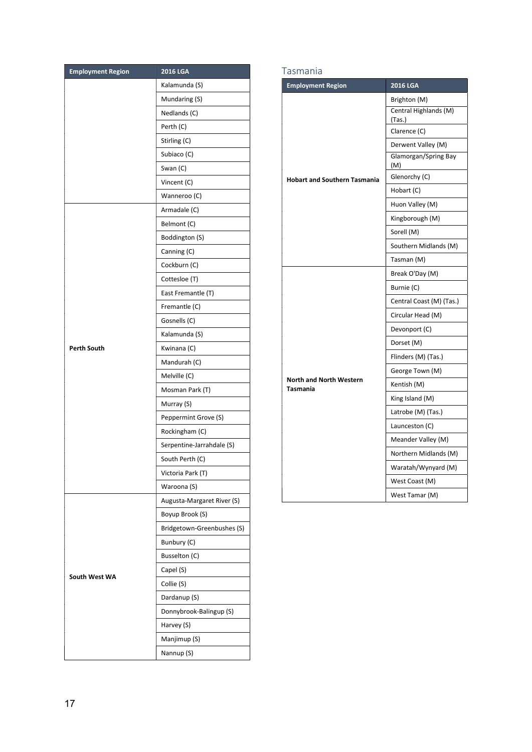| <b>Employment Region</b> | <b>2016 LGA</b>            |  |
|--------------------------|----------------------------|--|
|                          | Kalamunda (S)              |  |
|                          | Mundaring (S)              |  |
|                          | Nedlands (C)               |  |
|                          | Perth (C)                  |  |
|                          | Stirling (C)               |  |
|                          | Subiaco (C)                |  |
|                          | Swan (C)                   |  |
|                          | Vincent (C)                |  |
|                          | Wanneroo (C)               |  |
|                          | Armadale (C)               |  |
|                          | Belmont (C)                |  |
|                          | Boddington (S)             |  |
|                          | Canning (C)                |  |
|                          | Cockburn (C)               |  |
|                          | Cottesloe (T)              |  |
|                          | East Fremantle (T)         |  |
|                          | Fremantle (C)              |  |
|                          | Gosnells (C)               |  |
|                          | Kalamunda (S)              |  |
| <b>Perth South</b>       | Kwinana (C)                |  |
|                          | Mandurah (C)               |  |
|                          | Melville (C)               |  |
|                          | Mosman Park (T)            |  |
|                          | Murray (S)                 |  |
|                          | Peppermint Grove (S)       |  |
|                          | Rockingham (C)             |  |
|                          | Serpentine-Jarrahdale (S)  |  |
|                          | South Perth (C)            |  |
|                          | Victoria Park (T)          |  |
|                          | Waroona (S)                |  |
|                          | Augusta-Margaret River (S) |  |
|                          | Boyup Brook (S)            |  |
| South West WA            | Bridgetown-Greenbushes (S) |  |
|                          | Bunbury (C)                |  |
|                          | Busselton (C)              |  |
|                          | Capel (S)                  |  |
|                          | Collie (S)                 |  |
|                          | Dardanup (S)               |  |
|                          | Donnybrook-Balingup (S)    |  |
|                          | Harvey (S)                 |  |
|                          | Manjimup (S)               |  |
|                          | Nannup (S)                 |  |

#### Tasmania

| <b>Employment Region</b>                          | <b>2016 LGA</b>                       |
|---------------------------------------------------|---------------------------------------|
|                                                   | Brighton (M)<br>Central Highlands (M) |
|                                                   | (Tas.)<br>Clarence (C)                |
|                                                   | Derwent Valley (M)                    |
|                                                   | Glamorgan/Spring Bay<br>(M)           |
| <b>Hobart and Southern Tasmania</b>               | Glenorchy (C)                         |
|                                                   | Hobart (C)                            |
|                                                   | Huon Valley (M)                       |
|                                                   | Kingborough (M)                       |
|                                                   | Sorell (M)                            |
|                                                   | Southern Midlands (M)                 |
|                                                   | Tasman (M)                            |
|                                                   | Break O'Day (M)                       |
|                                                   | Burnie (C)                            |
|                                                   | Central Coast (M) (Tas.)              |
|                                                   | Circular Head (M)                     |
|                                                   | Devonport (C)                         |
|                                                   | Dorset (M)                            |
|                                                   | Flinders (M) (Tas.)                   |
|                                                   | George Town (M)                       |
| <b>North and North Western</b><br><b>Tasmania</b> | Kentish (M)                           |
|                                                   | King Island (M)                       |
|                                                   | Latrobe (M) (Tas.)                    |
|                                                   | Launceston (C)                        |
|                                                   | Meander Valley (M)                    |
|                                                   | Northern Midlands (M)                 |
|                                                   | Waratah/Wynyard (M)                   |
|                                                   | West Coast (M)                        |
|                                                   | West Tamar (M)                        |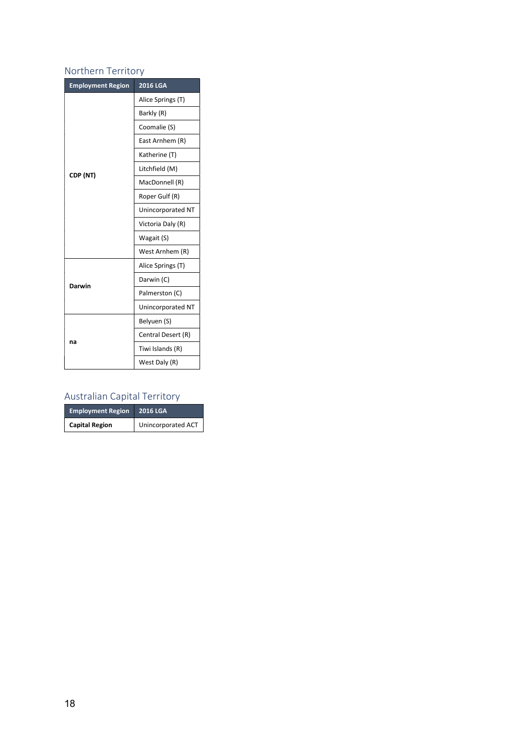## Northern Territory

| <b>Employment Region</b> | <b>2016 LGA</b>    |
|--------------------------|--------------------|
|                          | Alice Springs (T)  |
|                          | Barkly (R)         |
|                          | Coomalie (S)       |
|                          | East Arnhem (R)    |
|                          | Katherine (T)      |
| CDP (NT)                 | Litchfield (M)     |
|                          | MacDonnell (R)     |
|                          | Roper Gulf (R)     |
|                          | Unincorporated NT  |
|                          | Victoria Daly (R)  |
|                          | Wagait (S)         |
|                          | West Arnhem (R)    |
|                          | Alice Springs (T)  |
| Darwin                   | Darwin (C)         |
|                          | Palmerston (C)     |
|                          | Unincorporated NT  |
| na                       | Belyuen (S)        |
|                          | Central Desert (R) |
|                          | Tiwi Islands (R)   |
|                          | West Daly (R)      |

## Australian Capital Territory

| <b>Employment Region</b> | <b>2016 LGA</b>    |
|--------------------------|--------------------|
| <b>Capital Region</b>    | Unincorporated ACT |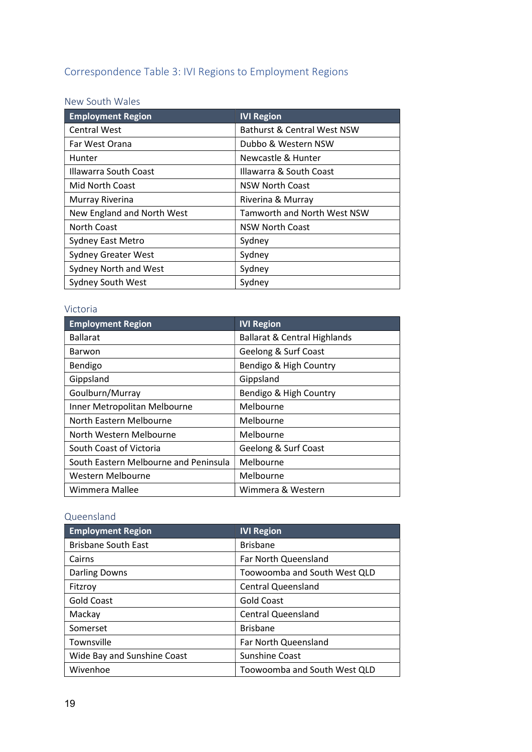# Correspondence Table 3: IVI Regions to Employment Regions

## New South Wales

| <b>Employment Region</b>   | <b>IVI Region</b>           |
|----------------------------|-----------------------------|
| <b>Central West</b>        | Bathurst & Central West NSW |
| Far West Orana             | Dubbo & Western NSW         |
| Hunter                     | Newcastle & Hunter          |
| Illawarra South Coast      | Illawarra & South Coast     |
| Mid North Coast            | <b>NSW North Coast</b>      |
| Murray Riverina            | Riverina & Murray           |
| New England and North West | Tamworth and North West NSW |
| <b>North Coast</b>         | <b>NSW North Coast</b>      |
| Sydney East Metro          | Sydney                      |
| <b>Sydney Greater West</b> | Sydney                      |
| Sydney North and West      | Sydney                      |
| Sydney South West          | Sydney                      |

### Victoria

| <b>Employment Region</b>              | <b>IVI Region</b>                       |
|---------------------------------------|-----------------------------------------|
| <b>Ballarat</b>                       | <b>Ballarat &amp; Central Highlands</b> |
| Barwon                                | Geelong & Surf Coast                    |
| Bendigo                               | Bendigo & High Country                  |
| Gippsland                             | Gippsland                               |
| Goulburn/Murray                       | Bendigo & High Country                  |
| Inner Metropolitan Melbourne          | Melbourne                               |
| North Eastern Melbourne               | Melbourne                               |
| North Western Melbourne               | Melbourne                               |
| South Coast of Victoria               | Geelong & Surf Coast                    |
| South Eastern Melbourne and Peninsula | Melbourne                               |
| Western Melbourne                     | Melbourne                               |
| Wimmera Mallee                        | Wimmera & Western                       |

## Queensland

| <b>Employment Region</b>    | <b>IVI Region</b>            |
|-----------------------------|------------------------------|
| <b>Brisbane South East</b>  | <b>Brisbane</b>              |
| Cairns                      | Far North Queensland         |
| <b>Darling Downs</b>        | Toowoomba and South West QLD |
| Fitzroy                     | <b>Central Queensland</b>    |
| <b>Gold Coast</b>           | <b>Gold Coast</b>            |
| Mackay                      | <b>Central Queensland</b>    |
| Somerset                    | <b>Brisbane</b>              |
| Townsville                  | Far North Queensland         |
| Wide Bay and Sunshine Coast | Sunshine Coast               |
| Wivenhoe                    | Toowoomba and South West QLD |